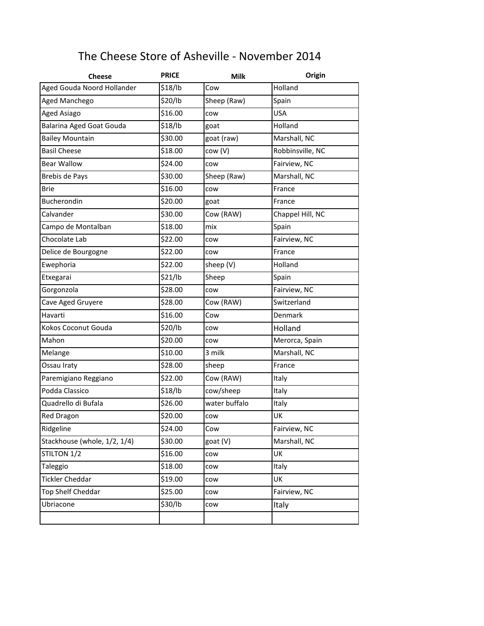## The Cheese Store of Asheville - November 2014

| <b>Cheese</b>                | <b>PRICE</b> | <b>Milk</b>   | Origin           |  |
|------------------------------|--------------|---------------|------------------|--|
| Aged Gouda Noord Hollander   | \$18/lb      | Cow           | Holland          |  |
| Aged Manchego                | \$20/lb      | Sheep (Raw)   | Spain            |  |
| <b>Aged Asiago</b>           | \$16.00      | cow           | <b>USA</b>       |  |
| Balarina Aged Goat Gouda     | \$18/lb      | goat          | Holland          |  |
| <b>Bailey Mountain</b>       | \$30.00      | goat (raw)    | Marshall, NC     |  |
| <b>Basil Cheese</b>          | \$18.00      | cow (V)       | Robbinsville, NC |  |
| <b>Bear Wallow</b>           | \$24.00      | cow           | Fairview, NC     |  |
| <b>Brebis de Pays</b>        | \$30.00      | Sheep (Raw)   | Marshall, NC     |  |
| <b>Brie</b>                  | \$16.00      | cow           | France           |  |
| Bucherondin                  | \$20.00      | goat          | France           |  |
| Calvander                    | \$30.00      | Cow (RAW)     | Chappel Hill, NC |  |
| Campo de Montalban           | \$18.00      | mix           | Spain            |  |
| Chocolate Lab                | \$22.00      | cow           | Fairview, NC     |  |
| Delice de Bourgogne          | \$22.00      | cow           | France           |  |
| Ewephoria                    | \$22.00      | sheep (V)     | Holland          |  |
| Etxegarai                    | \$21/lb      | Sheep         | Spain            |  |
| Gorgonzola                   | \$28.00      | cow           | Fairview, NC     |  |
| Cave Aged Gruyere            | \$28.00      | Cow (RAW)     | Switzerland      |  |
| Havarti                      | \$16.00      | Cow           | Denmark          |  |
| Kokos Coconut Gouda          | \$20/lb      | cow           | Holland          |  |
| Mahon                        | \$20.00      | cow           | Merorca, Spain   |  |
| Melange                      | \$10.00      | 3 milk        | Marshall, NC     |  |
| Ossau Iraty                  | \$28.00      | sheep         | France           |  |
| Paremigiano Reggiano         | \$22.00      | Cow (RAW)     | Italy            |  |
| Podda Classico               | \$18/lb      | cow/sheep     | Italy            |  |
| Quadrello di Bufala          | \$26.00      | water buffalo | Italy            |  |
| <b>Red Dragon</b>            | \$20.00      | cow           | UK               |  |
| Ridgeline                    | \$24.00      | Cow           | Fairview, NC     |  |
| Stackhouse (whole, 1/2, 1/4) | \$30.00      | goat (V)      | Marshall, NC     |  |
| STILTON 1/2                  | \$16.00      | cow           | UK               |  |
| Taleggio                     | \$18.00      | cow           | Italy            |  |
| <b>Tickler Cheddar</b>       | \$19.00      | cow           | UK               |  |
| Top Shelf Cheddar            | \$25.00      | cow           | Fairview, NC     |  |
| Ubriacone                    | \$30/lb      | cow           | Italy            |  |